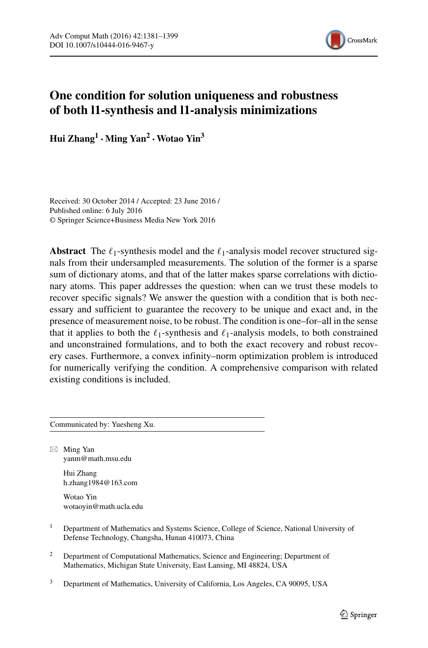

# **One condition for solution uniqueness and robustness of both l1-synthesis and l1-analysis minimizations**

**Hui Zhang<sup>1</sup> ·Ming Yan<sup>2</sup> ·Wotao Yin3**

Received: 30 October 2014 / Accepted: 23 June 2016 / Published online: 6 July 2016 © Springer Science+Business Media New York 2016

Abstract The  $\ell_1$ -synthesis model and the  $\ell_1$ -analysis model recover structured signals from their undersampled measurements. The solution of the former is a sparse sum of dictionary atoms, and that of the latter makes sparse correlations with dictionary atoms. This paper addresses the question: when can we trust these models to recover specific signals? We answer the question with a condition that is both necessary and sufficient to guarantee the recovery to be unique and exact and, in the presence of measurement noise, to be robust. The condition is one–for–all in the sense that it applies to both the  $\ell_1$ -synthesis and  $\ell_1$ -analysis models, to both constrained and unconstrained formulations, and to both the exact recovery and robust recovery cases. Furthermore, a convex infinity–norm optimization problem is introduced for numerically verifying the condition. A comprehensive comparison with related existing conditions is included.

Communicated by: Yuesheng Xu.

 $\boxtimes$  Ming Yan [yanm@math.msu.edu](mailto:yanm@math.msu.edu)

> Hui Zhang [h.zhang1984@163.com](mailto:h.zhang1984@163.com)

Wotao Yin [wotaoyin@math.ucla.edu](mailto:wotaoyin@math.ucla.edu)

- <sup>1</sup> Department of Mathematics and Systems Science, College of Science, National University of Defense Technology, Changsha, Hunan 410073, China
- <sup>2</sup> Department of Computational Mathematics, Science and Engineering; Department of Mathematics, Michigan State University, East Lansing, MI 48824, USA
- <sup>3</sup> Department of Mathematics, University of California, Los Angeles, CA 90095, USA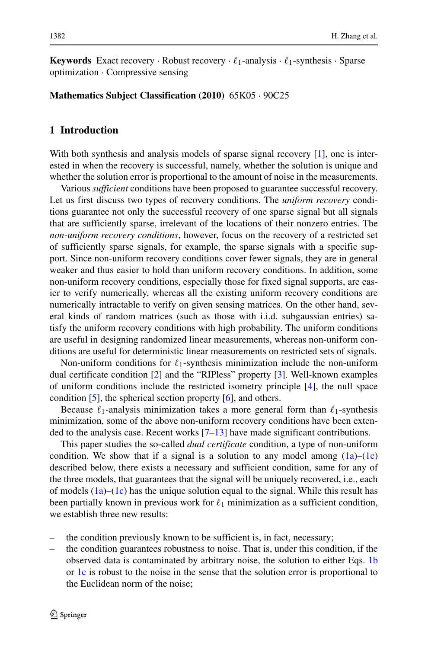**Keywords** Exact recovery  $\cdot$  Robust recovery  $\cdot \ell_1$ -analysis  $\cdot \ell_1$ -synthesis  $\cdot$  Sparse optimization · Compressive sensing

#### **Mathematics Subject Classification (2010)** 65K05 · 90C25

## **1 Introduction**

With both synthesis and analysis models of sparse signal recovery [\[1\]](#page-17-0), one is interested in when the recovery is successful, namely, whether the solution is unique and whether the solution error is proportional to the amount of noise in the measurements.

Various *sufficient* conditions have been proposed to guarantee successful recovery. Let us first discuss two types of recovery conditions. The *uniform recovery* conditions guarantee not only the successful recovery of one sparse signal but all signals that are sufficiently sparse, irrelevant of the locations of their nonzero entries. The *non-uniform recovery conditions*, however, focus on the recovery of a restricted set of sufficiently sparse signals, for example, the sparse signals with a specific support. Since non-uniform recovery conditions cover fewer signals, they are in general weaker and thus easier to hold than uniform recovery conditions. In addition, some non-uniform recovery conditions, especially those for fixed signal supports, are easier to verify numerically, whereas all the existing uniform recovery conditions are numerically intractable to verify on given sensing matrices. On the other hand, several kinds of random matrices (such as those with i.i.d. subgaussian entries) satisfy the uniform recovery conditions with high probability. The uniform conditions are useful in designing randomized linear measurements, whereas non-uniform conditions are useful for deterministic linear measurements on restricted sets of signals.

Non-uniform conditions for  $\ell_1$ -synthesis minimization include the non-uniform dual certificate condition [\[2\]](#page-17-1) and the "RIPless" property [\[3\]](#page-17-2). Well-known examples of uniform conditions include the restricted isometry principle [\[4\]](#page-17-3), the null space condition [\[5\]](#page-17-4), the spherical section property [\[6\]](#page-17-5), and others.

Because  $\ell_1$ -analysis minimization takes a more general form than  $\ell_1$ -synthesis minimization, some of the above non-uniform recovery conditions have been extended to the analysis case. Recent works  $[7-13]$  $[7-13]$  have made significant contributions.

This paper studies the so-called *dual certificate* condition, a type of non-uniform condition. We show that if a signal is a solution to any model among  $(1a)$ – $(1c)$ described below, there exists a necessary and sufficient condition, same for any of the three models, that guarantees that the signal will be uniquely recovered, i.e., each of models  $(1a)$ – $(1c)$  has the unique solution equal to the signal. While this result has been partially known in previous work for  $\ell_1$  minimization as a sufficient condition, we establish three new results:

- the condition previously known to be sufficient is, in fact, necessary;
- the condition guarantees robustness to noise. That is, under this condition, if the observed data is contaminated by arbitrary noise, the solution to either Eqs. [1b](#page-3-0) or [1c](#page-3-0) is robust to the noise in the sense that the solution error is proportional to the Euclidean norm of the noise;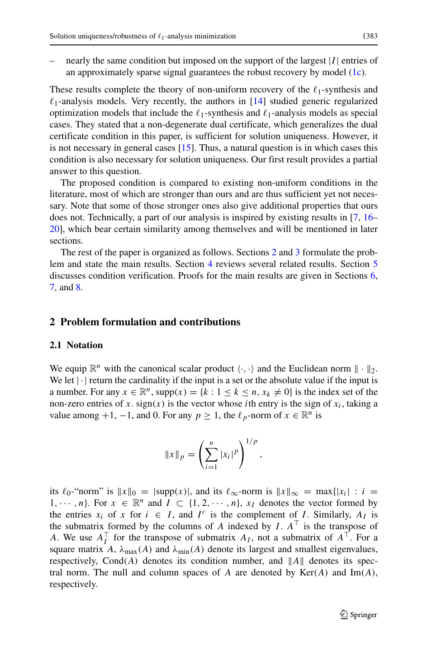nearly the same condition but imposed on the support of the largest  $|I|$  entries of an approximately sparse signal guarantees the robust recovery by model [\(1c\)](#page-3-0).

These results complete the theory of non-uniform recovery of the  $\ell_1$ -synthesis and  $\ell_1$ -analysis models. Very recently, the authors in [\[14\]](#page-18-0) studied generic regularized optimization models that include the  $\ell_1$ -synthesis and  $\ell_1$ -analysis models as special cases. They stated that a non-degenerate dual certificate, which generalizes the dual certificate condition in this paper, is sufficient for solution uniqueness. However, it is not necessary in general cases  $[15]$ . Thus, a natural question is in which cases this condition is also necessary for solution uniqueness. Our first result provides a partial answer to this question.

The proposed condition is compared to existing non-uniform conditions in the literature, most of which are stronger than ours and are thus sufficient yet not necessary. Note that some of those stronger ones also give additional properties that ours does not. Technically, a part of our analysis is inspired by existing results in [\[7,](#page-17-6) [16–](#page-18-2) [20\]](#page-18-3), which bear certain similarity among themselves and will be mentioned in later sections.

The rest of the paper is organized as follows. Sections [2](#page-2-0) and [3](#page-4-0) formulate the problem and state the main results. Section [4](#page-7-0) reviews several related results. Section [5](#page-10-0) discusses condition verification. Proofs for the main results are given in Sections [6,](#page-11-0) [7,](#page-14-0) and [8.](#page-16-0)

#### <span id="page-2-0"></span>**2 Problem formulation and contributions**

#### **2.1 Notation**

We equip  $\mathbb{R}^n$  with the canonical scalar product  $\langle \cdot, \cdot \rangle$  and the Euclidean norm  $\| \cdot \|_2$ . We let  $|\cdot|$  return the cardinality if the input is a set or the absolute value if the input is a number. For any  $x \in \mathbb{R}^n$ , supp $(x) = \{k : 1 \le k \le n, x_k \ne 0\}$  is the index set of the non-zero entries of x. sign(x) is the vector whose *i*th entry is the sign of  $x_i$ , taking a value among  $+1$ ,  $-1$ , and 0. For any  $p \ge 1$ , the  $\ell_p$ -norm of  $x \in \mathbb{R}^n$  is

$$
||x||_p = \left(\sum_{i=1}^n |x_i|^p\right)^{1/p},
$$

its  $\ell_0$ -"norm" is  $||x||_0 = |\text{supp}(x)|$ , and its  $\ell_\infty$ -norm is  $||x||_\infty = \max\{|x_i| : i =$ 1,  $\cdots$ , *n*}. For  $x \in \mathbb{R}^n$  and  $I \subset \{1, 2, \cdots, n\}$ ,  $x_I$  denotes the vector formed by the entries  $x_i$  of  $x$  for  $i \in I$ , and  $I^c$  is the complement of *I*. Similarly,  $A_I$  is the submatrix formed by the columns of *A* indexed by *I*.  $A^{\top}$  is the transpose of *A*. We use  $A_I^{\dagger}$  for the transpose of submatrix  $A_I$ , not a submatrix of  $A^{\dagger}$ . For a square matrix *A*,  $\lambda_{\text{max}}(A)$  and  $\lambda_{\text{min}}(A)$  denote its largest and smallest eigenvalues, respectively, Cond $(A)$  denotes its condition number, and  $||A||$  denotes its spectral norm. The null and column spaces of A are denoted by  $Ker(A)$  and  $Im(A)$ , respectively.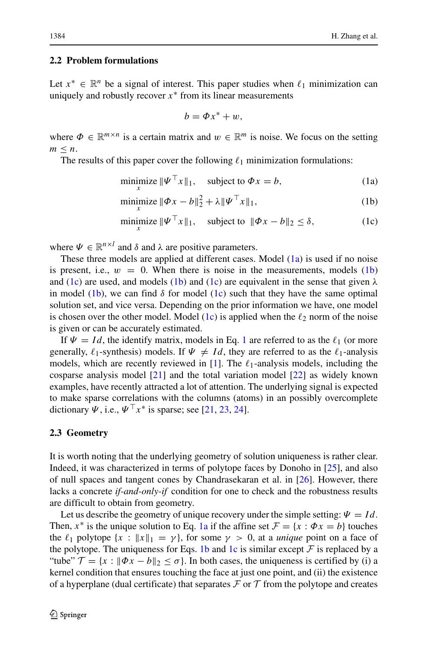#### **2.2 Problem formulations**

Let  $x^* \in \mathbb{R}^n$  be a signal of interest. This paper studies when  $\ell_1$  minimization can uniquely and robustly recover  $x^*$  from its linear measurements

<span id="page-3-1"></span>
$$
b=\varPhi x^*+w,
$$

where  $\Phi \in \mathbb{R}^{m \times n}$  is a certain matrix and  $w \in \mathbb{R}^m$  is noise. We focus on the setting  $m \leq n$ .

The results of this paper cover the following  $\ell_1$  minimization formulations:

<span id="page-3-0"></span>
$$
\underset{x}{\text{minimize}} \|\Psi^{\top} x\|_1, \quad \text{subject to } \Phi x = b,\tag{1a}
$$

minimize 
$$
\|\Phi x - b\|_2^2 + \lambda \|\Psi^\top x\|_1
$$
, (1b)

$$
\underset{x}{\text{minimize}} \ \|\boldsymbol{\varPsi}^{\top}\boldsymbol{x}\|_{1}, \quad \text{subject to} \ \|\boldsymbol{\varPhi}\boldsymbol{x} - \boldsymbol{b}\|_{2} \leq \delta, \tag{1c}
$$

where  $\Psi \in \mathbb{R}^{n \times l}$  and  $\delta$  and  $\lambda$  are positive parameters.

These three models are applied at different cases. Model  $(1a)$  is used if no noise is present, i.e.,  $w = 0$ . When there is noise in the measurements, models  $(1b)$ and [\(1c\)](#page-3-0) are used, and models [\(1b\)](#page-3-0) and [\(1c\)](#page-3-0) are equivalent in the sense that given *λ* in model [\(1b\)](#page-3-0), we can find  $\delta$  for model [\(1c\)](#page-3-0) such that they have the same optimal solution set, and vice versa. Depending on the prior information we have, one model is chosen over the other model. Model  $(1c)$  is applied when the  $\ell_2$  norm of the noise is given or can be accurately estimated.

If  $\Psi = Id$ , the identify matrix, models in Eq. [1](#page-3-1) are referred to as the  $\ell_1$  (or more generally,  $\ell_1$ -synthesis) models. If  $\Psi \neq Id$ , they are referred to as the  $\ell_1$ -analysis models, which are recently reviewed in  $[1]$ . The  $\ell_1$ -analysis models, including the cosparse analysis model [\[21\]](#page-18-4) and the total variation model [\[22\]](#page-18-5) as widely known examples, have recently attracted a lot of attention. The underlying signal is expected to make sparse correlations with the columns (atoms) in an possibly overcomplete dictionary  $\Psi$ , i.e.,  $\Psi^{\top} x^*$  is sparse; see [\[21,](#page-18-4) [23,](#page-18-6) [24\]](#page-18-7).

## **2.3 Geometry**

It is worth noting that the underlying geometry of solution uniqueness is rather clear. Indeed, it was characterized in terms of polytope faces by Donoho in [\[25\]](#page-18-8), and also of null spaces and tangent cones by Chandrasekaran et al. in [\[26\]](#page-18-9). However, there lacks a concrete *if-and-only-if* condition for one to check and the robustness results are difficult to obtain from geometry.

Let us describe the geometry of unique recovery under the simple setting:  $\Psi = Id$ . Then,  $x^*$  is the unique solution to Eq. [1a](#page-3-0) if the affine set  $\mathcal{F} = \{x : \Phi x = b\}$  touches the  $\ell_1$  polytope  $\{x : ||x||_1 = \gamma\}$ , for some  $\gamma > 0$ , at a *unique* point on a face of the polytope. The uniqueness for Eqs. [1b](#page-3-0) and [1c](#page-3-0) is similar except  $\mathcal F$  is replaced by a "tube"  $\mathcal{T} = \{x : \|\Phi x - b\|_2 \leq \sigma\}$ . In both cases, the uniqueness is certified by (i) a kernel condition that ensures touching the face at just one point, and (ii) the existence of a hyperplane (dual certificate) that separates  $\mathcal F$  or  $\mathcal T$  from the polytope and creates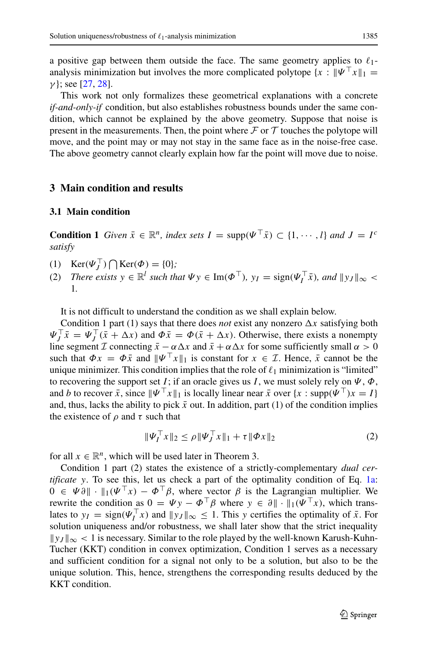a positive gap between them outside the face. The same geometry applies to  $\ell_1$ analysis minimization but involves the more complicated polytope  $\{x : \Psi^{\top} x\|_1 =$ *γ* }; see [\[27,](#page-18-10) [28\]](#page-18-11).

This work not only formalizes these geometrical explanations with a concrete *if-and-only-if* condition, but also establishes robustness bounds under the same condition, which cannot be explained by the above geometry. Suppose that noise is present in the measurements. Then, the point where  $\mathcal F$  or  $\mathcal T$  touches the polytope will move, and the point may or may not stay in the same face as in the noise-free case. The above geometry cannot clearly explain how far the point will move due to noise.

## <span id="page-4-0"></span>**3 Main condition and results**

## **3.1 Main condition**

**Condition 1** *Given*  $\bar{x} \in \mathbb{R}^n$ *, index sets*  $I = \text{supp}(\Psi^\top \bar{x}) \subset \{1, \dots, l\}$  *and*  $J = I^c$ *satisfy*

- (1)  $\text{Ker}(\Psi_J^{\perp}) \bigcap \text{Ker}(\Phi) = \{0\};$
- (2) *There exists*  $y \in \mathbb{R}^l$  *such that*  $\Psi y \in \text{Im}(\Phi^\top)$ *,*  $y_I = \text{sign}(\Psi_I^\top \bar{x})$ *, and*  $||y_J||_\infty$  < 1*.*

It is not difficult to understand the condition as we shall explain below.

Condition 1 part (1) says that there does *not* exist any nonzero  $\Delta x$  satisfying both  $\Psi_j^{\dagger} \bar{x} = \Psi_j^{\dagger} (\bar{x} + \Delta x)$  and  $\Phi \bar{x} = \Phi(\bar{x} + \Delta x)$ . Otherwise, there exists a nonempty line segment  $\mathcal I$  connecting  $\bar x - \alpha \Delta x$  and  $\bar x + \alpha \Delta x$  for some sufficiently small  $\alpha > 0$ such that  $\Phi x = \Phi \bar{x}$  and  $\|\Psi^\top x\|_1$  is constant for  $x \in \mathcal{I}$ . Hence,  $\bar{x}$  cannot be the unique minimizer. This condition implies that the role of  $\ell_1$  minimization is "limited" to recovering the support set *I*; if an oracle gives us *I*, we must solely rely on  $\Psi$ ,  $\Phi$ , and *b* to recover  $\bar{x}$ , since  $\|\Psi^\top x\|_1$  is locally linear near  $\bar{x}$  over  $\{x : \text{supp}(\Psi^\top) x = I\}$ and, thus, lacks the ability to pick  $\bar{x}$  out. In addition, part (1) of the condition implies the existence of  $\rho$  and  $\tau$  such that

$$
\|\Psi_I^\top x\|_2 \le \rho \|\Psi_J^\top x\|_1 + \tau \|\Phi x\|_2 \tag{2}
$$

for all  $x \in \mathbb{R}^n$ , which will be used later in Theorem 3.

Condition 1 part (2) states the existence of a strictly-complementary *dual certificate y*. To see this, let us check a part of the optimality condition of Eq. [1a:](#page-3-0)  $0 \in \Psi \partial \|\cdot\|_1 (\Psi^\top x) - \Phi^\top \beta$ , where vector  $\beta$  is the Lagrangian multiplier. We rewrite the condition as  $0 = \Psi y - \Phi^\top \beta$  where  $y \in \partial \mathbb{L} \cdot \mathbb{L}(\Psi^\top x)$ , which translates to  $y_I = \text{sign}(\Psi_I^{\perp} x)$  and  $||y_J||_{\infty} \le 1$ . This *y* certifies the optimality of  $\bar{x}$ . For solution uniqueness and/or robustness, we shall later show that the strict inequality  $\|y_J\|_{\infty}$  < 1 is necessary. Similar to the role played by the well-known Karush-Kuhn-Tucher (KKT) condition in convex optimization, Condition 1 serves as a necessary and sufficient condition for a signal not only to be a solution, but also to be the unique solution. This, hence, strengthens the corresponding results deduced by the KKT condition.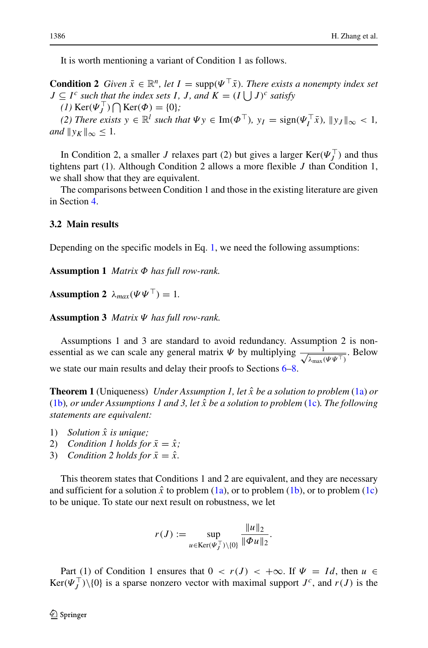It is worth mentioning a variant of Condition 1 as follows.

**Condition 2** *Given*  $\bar{x} \in \mathbb{R}^n$ , let  $I = \text{supp}(\Psi^\top \bar{x})$ . There exists a nonempty index set *J* ⊆ *I*<sup>*c*</sup> *such that the index sets I*, *J*, and  $K = (I \cup J)^c$  *satisfy* 

 $(1)$  Ker( $\Psi_j^{\perp}$ )  $\bigcap$  Ker( $\Phi$ ) = {0}*;* 

*(2) There exists*  $y \in \mathbb{R}^l$  *such that*  $\Psi y \in \text{Im}(\Phi^\top)$ *,*  $y_I = \text{sign}(\Psi_I^\top \bar{x})$ *,*  $||y_J||_\infty < 1$ *, and*  $||y_K||_{\infty} \leq 1$ .

In Condition 2, a smaller *J* relaxes part (2) but gives a larger  $\text{Ker}(\Psi_j^{\perp})$  and thus tightens part (1). Although Condition 2 allows a more flexible *J* than Condition 1, we shall show that they are equivalent.

The comparisons between Condition 1 and those in the existing literature are given in Section [4.](#page-7-0)

#### **3.2 Main results**

Depending on the specific models in Eq. [1,](#page-3-1) we need the following assumptions:

**Assumption 1** *Matrix Φ has full row-rank.*

**Assumption 2**  $\lambda_{max}(\Psi \Psi^{\top}) = 1$ .

**Assumption 3** *Matrix Ψ has full row-rank.*

Assumptions 1 and 3 are standard to avoid redundancy. Assumption 2 is nonessential as we can scale any general matrix  $\Psi$  by multiplying  $\frac{1}{\sqrt{1-\theta}}$  $\frac{1}{\lambda_{\max}(\Psi\Psi^{\top})}$ . Below we state our main results and delay their proofs to Sections [6–](#page-11-0)[8.](#page-16-0)

**Theorem 1** (Uniqueness) *Under Assumption 1, let x*ˆ *be a solution to problem* [\(1a\)](#page-3-0) *or* [\(1b\)](#page-3-0)*, or under Assumptions 1 and 3, let x*ˆ *be a solution to problem* [\(1c\)](#page-3-0)*. The following statements are equivalent:*

- 1) *Solution x*ˆ *is unique;*
- 2) *Condition 1 holds for*  $\bar{x} = \hat{x}$ ;
- 3) *Condition 2 holds for*  $\bar{x} = \hat{x}$ *.*

This theorem states that Conditions 1 and 2 are equivalent, and they are necessary and sufficient for a solution  $\hat{x}$  to problem [\(1a\)](#page-3-0), or to problem [\(1b\)](#page-3-0), or to problem [\(1c\)](#page-3-0) to be unique. To state our next result on robustness, we let

$$
r(J) := \sup_{u \in \text{Ker}(\Psi_J^\top) \setminus \{0\}} \frac{\|u\|_2}{\|\Phi u\|_2}.
$$

Part (1) of Condition 1 ensures that  $0 < r(J) < +\infty$ . If  $\Psi = Id$ , then  $u \in$  $\text{Ker}(\Psi_J^{\top})\setminus\{0\}$  is a sparse nonzero vector with maximal support  $J^c$ , and  $r(J)$  is the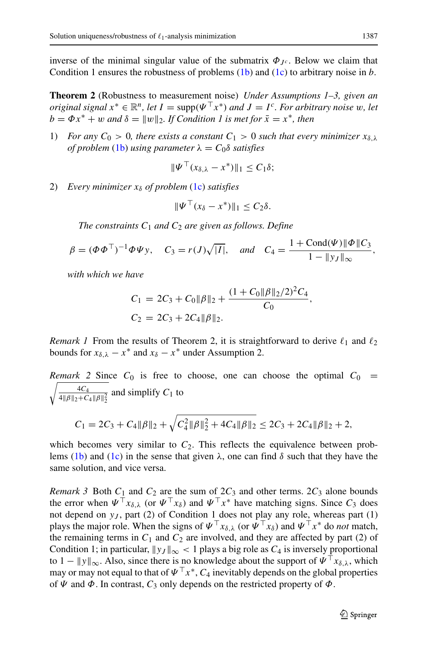inverse of the minimal singular value of the submatrix  $\Phi_{J^c}$ . Below we claim that Condition 1 ensures the robustness of problems [\(1b\)](#page-3-0) and [\(1c\)](#page-3-0) to arbitrary noise in *b*.

**Theorem 2** (Robustness to measurement noise) *Under Assumptions 1–3, given an original signal*  $x^* \in \mathbb{R}^n$ , *let*  $I = \text{supp}(\Psi^\top x^*)$  *and*  $J = I^c$ *. For arbitrary noise w, let*  $b = \Phi x^* + w$  *and*  $\delta = ||w||_2$ . If Condition 1 is met for  $\bar{x} = x^*$ , then

1) *For any*  $C_0 > 0$ *, there exists a constant*  $C_1 > 0$  *such that every minimizer*  $x_{\delta,\lambda}$ *of problem* [\(1b\)](#page-3-0) *using parameter*  $\lambda = C_0 \delta$  *satisfies* 

$$
\|\Psi^{\perp}(x_{\delta,\lambda}-x^*)\|_1\leq C_1\delta;
$$

2) *Every minimizer xδ of problem* [\(1c\)](#page-3-0) *satisfies*

$$
\|\Psi^\top (x_\delta - x^*)\|_1 \le C_2 \delta.
$$

*The constraints*  $C_1$  *and*  $C_2$  *are given as follows. Define* 

$$
\beta = (\Phi \Phi^{\top})^{-1} \Phi \Psi y
$$
,  $C_3 = r(J)\sqrt{|I|}$ , and  $C_4 = \frac{1 + \text{Cond}(\Psi) \|\Phi\| C_3}{1 - \|y_I\|_{\infty}}$ ,

*with which we have*

$$
C_1 = 2C_3 + C_0 \|\beta\|_2 + \frac{(1 + C_0 \|\beta\|_2 / 2)^2 C_4}{C_0},
$$
  
\n
$$
C_2 = 2C_3 + 2C_4 \|\beta\|_2.
$$

*Remark 1* From the results of Theorem 2, it is straightforward to derive  $\ell_1$  and  $\ell_2$ bounds for  $x_{\delta,\lambda} - x^*$  and  $x_{\delta} - x^*$  under Assumption 2.

 $\sqrt{4C_4}$ *Remark* 2 Since  $C_0$  is free to choose, one can choose the optimal  $C_0$  =  $rac{4C_4}{4||\beta||_2 + C_4 ||\beta||_2^2}$  and simplify  $C_1$  to

$$
C_1 = 2C_3 + C_4 \|\beta\|_2 + \sqrt{C_4^2 \|\beta\|_2^2 + 4C_4 \|\beta\|_2} \le 2C_3 + 2C_4 \|\beta\|_2 + 2,
$$

which becomes very similar to  $C_2$ . This reflects the equivalence between prob-lems [\(1b\)](#page-3-0) and [\(1c\)](#page-3-0) in the sense that given  $\lambda$ , one can find *δ* such that they have the same solution, and vice versa.

*Remark 3* Both  $C_1$  and  $C_2$  are the sum of  $2C_3$  and other terms.  $2C_3$  alone bounds the error when  $\Psi^{\top} x_{\delta,\lambda}$  (or  $\Psi^{\top} x_{\delta}$ ) and  $\Psi^{\top} x^*$  have matching signs. Since  $C_3$  does not depend on  $y_j$ , part (2) of Condition 1 does not play any role, whereas part (1) plays the major role. When the signs of  $\Psi^{\top} x_{\delta,\lambda}$  (or  $\Psi^{\top} x_{\delta}$ ) and  $\Psi^{\top} x^*$  do *not* match, the remaining terms in  $C_1$  and  $C_2$  are involved, and they are affected by part (2) of Condition 1; in particular,  $\|y_J\|_{\infty} < 1$  plays a big role as  $C_4$  is inversely proportional to  $1 - ||y||_{\infty}$ . Also, since there is no knowledge about the support of  $\Psi^{\top} x_{\delta,\lambda}$ , which may or may not equal to that of  $\Psi^{\top} x^*$ ,  $C_4$  inevitably depends on the global properties of  $\Psi$  and  $\Phi$ . In contrast,  $C_3$  only depends on the restricted property of  $\Phi$ .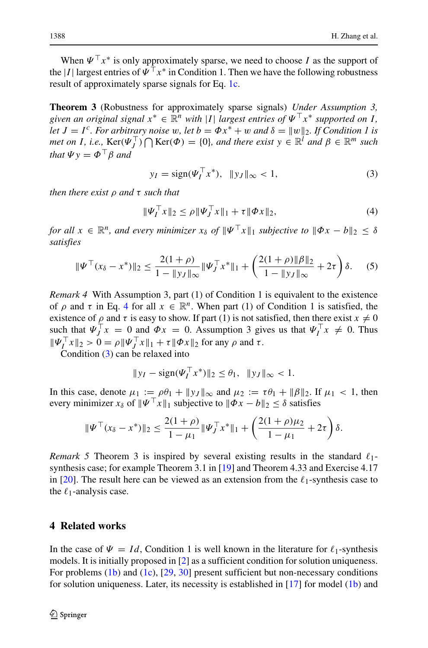When  $\Psi$ <sup>T</sup>  $x^*$  is only approximately sparse, we need to choose *I* as the support of the |*I* | largest entries of  $\Psi$ <sup>T</sup>  $x^*$  in Condition 1. Then we have the following robustness result of approximately sparse signals for Eq. [1c.](#page-3-0)

**Theorem 3** (Robustness for approximately sparse signals) *Under Assumption 3, given an original signal*  $x^* \in \mathbb{R}^n$  *with* |*I*| *largest entries of*  $\Psi^T x^*$  *supported on I*, *let*  $J = I^c$ *. For arbitrary noise w, let*  $b = \Phi x^* + w$  *and*  $\delta = ||w||_2$ *. If Condition 1 is met on I*, *i.e.*,  $\text{Ker}(\Psi_J^{\top}) \bigcap \text{Ker}(\Phi) = \{0\}$ , and there exist  $y \in \mathbb{R}^l$  and  $\beta \in \mathbb{R}^m$  such *that*  $\Psi v = \Phi^\top \beta$  *and* 

<span id="page-7-2"></span>
$$
y_I = sign(\Psi_I^T x^*), \|y_J\|_{\infty} < 1,
$$
 (3)

*then there exist ρ and τ such that*

<span id="page-7-1"></span>
$$
\|\Psi_I^\top x\|_2 \le \rho \|\Psi_J^\top x\|_1 + \tau \|\Phi x\|_2,\tag{4}
$$

*for all*  $x \in \mathbb{R}^n$ , and every minimizer  $x_\delta$  of  $\|\Psi^\top x\|_1$  subjective to  $\|\Phi x - b\|_2 \leq \delta$ *satisfies*

$$
\|\Psi^{\top}(x_{\delta}-x^{*})\|_{2} \leq \frac{2(1+\rho)}{1-\|y_{J}\|_{\infty}}\|\Psi_{J}^{\top}x^{*}\|_{1} + \left(\frac{2(1+\rho)\|\beta\|_{2}}{1-\|y_{J}\|_{\infty}}+2\tau\right)\delta. \tag{5}
$$

*Remark 4* With Assumption 3, part (1) of Condition 1 is equivalent to the existence of  $\rho$  and  $\tau$  in Eq. [4](#page-7-1) for all  $x \in \mathbb{R}^n$ . When part (1) of Condition 1 is satisfied, the existence of  $\rho$  and  $\tau$  is easy to show. If part (1) is not satisfied, then there exist  $x \neq 0$ such that  $\Psi_j^{\perp} x = 0$  and  $\Psi x = 0$ . Assumption 3 gives us that  $\Psi_l^{\perp} x \neq 0$ . Thus  $\|\Psi_I^{\perp} x\|_2 > 0 = \rho \|\Psi_J^{\perp} x\|_1 + \tau \|\Phi x\|_2$  for any  $\rho$  and  $\tau$ .

Condition [\(3\)](#page-7-2) can be relaxed into

$$
||y_I - \text{sign}(\Psi_I^{\top} x^*)||_2 \le \theta_1, \quad ||y_J||_{\infty} < 1.
$$

In this case, denote  $\mu_1 := \rho \theta_1 + ||y_J||_{\infty}$  and  $\mu_2 := \tau \theta_1 + ||\beta||_2$ . If  $\mu_1 < 1$ , then every minimizer  $x_{\delta}$  of  $\|\Psi^{\top} x\|_1$  subjective to  $\|\Phi x - b\|_2 \leq \delta$  satisfies

$$
\|\Psi^{\top}(x_{\delta}-x^{*})\|_{2} \leq \frac{2(1+\rho)}{1-\mu_{1}}\|\Psi_{J}^{\top}x^{*}\|_{1} + \left(\frac{2(1+\rho)\mu_{2}}{1-\mu_{1}}+2\tau\right)\delta.
$$

*Remark 5* Theorem 3 is inspired by several existing results in the standard *-*1 synthesis case; for example Theorem 3.1 in [\[19\]](#page-18-12) and Theorem 4.33 and Exercise 4.17 in  $[20]$ . The result here can be viewed as an extension from the  $\ell_1$ -synthesis case to the  $\ell_1$ -analysis case.

## <span id="page-7-0"></span>**4 Related works**

In the case of  $\Psi = Id$ , Condition 1 is well known in the literature for  $\ell_1$ -synthesis models. It is initially proposed in [\[2\]](#page-17-1) as a sufficient condition for solution uniqueness. For problems [\(1b\)](#page-3-0) and [\(1c\)](#page-3-0), [\[29,](#page-18-13) [30\]](#page-18-14) present sufficient but non-necessary conditions for solution uniqueness. Later, its necessity is established in  $[17]$  for model  $(1b)$  and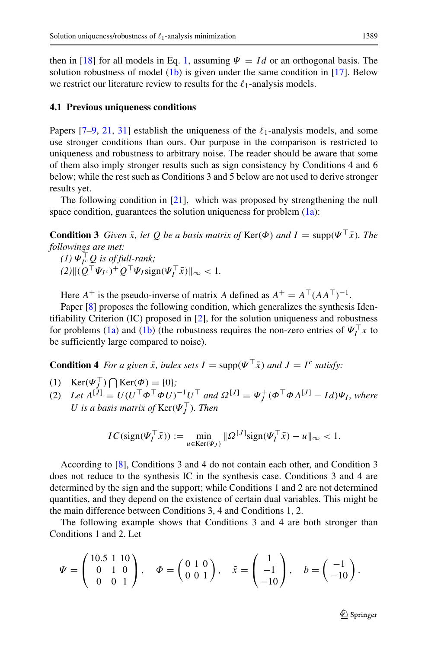then in [\[18\]](#page-18-16) for all models in Eq. [1,](#page-3-1) assuming  $\Psi = Id$  or an orthogonal basis. The solution robustness of model [\(1b\)](#page-3-0) is given under the same condition in [\[17\]](#page-18-15). Below we restrict our literature review to results for the  $\ell_1$ -analysis models.

#### **4.1 Previous uniqueness conditions**

Papers  $[7-9, 21, 31]$  $[7-9, 21, 31]$  $[7-9, 21, 31]$  $[7-9, 21, 31]$  $[7-9, 21, 31]$  establish the uniqueness of the  $\ell_1$ -analysis models, and some use stronger conditions than ours. Our purpose in the comparison is restricted to uniqueness and robustness to arbitrary noise. The reader should be aware that some of them also imply stronger results such as sign consistency by Conditions 4 and 6 below; while the rest such as Conditions 3 and 5 below are not used to derive stronger results yet.

The following condition in [\[21\]](#page-18-4), which was proposed by strengthening the null space condition, guarantees the solution uniqueness for problem  $(1a)$ :

**Condition 3** *Given*  $\bar{x}$ *, let Q be a basis matrix of*  $\text{Ker}(\Phi)$  *and*  $I = \text{supp}(\Psi^\top \bar{x})$ *. The followings are met:*

*(1)*  $\Psi_{I^c}^{\perp} \mathcal{Q}$  *is of full-rank;*  $(2)$ || $(Q^{\dagger} \Psi_{I^c})^+ Q^{\dagger} \Psi_{I} \text{sign}(\Psi_I^{\dagger} \bar{x})$ || $\infty$  < 1*.* 

Here  $A^+$  is the pseudo-inverse of matrix *A* defined as  $A^+ = A^{\top} (AA^{\top})^{-1}$ .

Paper [\[8\]](#page-17-9) proposes the following condition, which generalizes the synthesis Identifiability Criterion (IC) proposed in [\[2\]](#page-17-1), for the solution uniqueness and robustness for problems [\(1a\)](#page-3-0) and [\(1b\)](#page-3-0) (the robustness requires the non-zero entries of  $\Psi_I^{\perp} x$  to be sufficiently large compared to noise).

**Condition 4** *For a given*  $\bar{x}$ *, index sets*  $I = \text{supp}(\Psi^\top \bar{x})$  *and*  $J = I^c$  *satisfy:* 

- (1)  $\text{Ker}(\Psi_{J}^{\perp}) \bigcap \text{Ker}(\Phi) = \{0\};$
- $(2)$  *Let*  $A^{[J]} = U(U^{\top} \Phi^{\top} \Phi U)^{-1} U^{\top}$  and  $\Omega^{[J]} = \Psi_J^+ (\Phi^{\top} \Phi A^{[J]} Id) \Psi_I$ , where *U* is a basis matrix of  $\text{Ker}(\Psi_J^{\perp})$ . Then

$$
IC(\text{sign}(\Psi_I^\top \bar{x})) := \min_{u \in \text{Ker}(\Psi_J)} \|\Omega^{[J]}\text{sign}(\Psi_I^\top \bar{x}) - u\|_{\infty} < 1.
$$

According to [\[8\]](#page-17-9), Conditions 3 and 4 do not contain each other, and Condition 3 does not reduce to the synthesis IC in the synthesis case. Conditions 3 and 4 are determined by the sign and the support; while Conditions 1 and 2 are not determined quantities, and they depend on the existence of certain dual variables. This might be the main difference between Conditions 3, 4 and Conditions 1, 2.

The following example shows that Conditions 3 and 4 are both stronger than Conditions 1 and 2. Let

$$
\Psi = \begin{pmatrix} 10.5 & 1 & 10 \\ 0 & 1 & 0 \\ 0 & 0 & 1 \end{pmatrix}, \quad \Phi = \begin{pmatrix} 0 & 1 & 0 \\ 0 & 0 & 1 \end{pmatrix}, \quad \tilde{x} = \begin{pmatrix} 1 \\ -1 \\ -10 \end{pmatrix}, \quad b = \begin{pmatrix} -1 \\ -10 \end{pmatrix}.
$$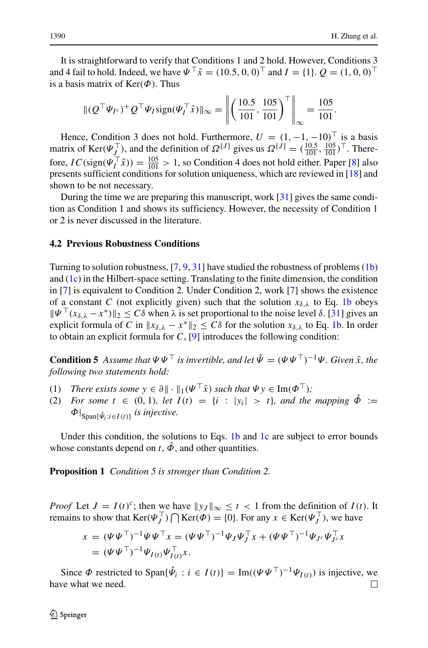It is straightforward to verify that Conditions 1 and 2 hold. However, Conditions 3 and 4 fail to hold. Indeed, we have  $\Psi^{\top} \tilde{x} = (10.5, 0, 0)^{\top}$  and  $I = \{1\}$ .  $Q = (1, 0, 0)^{\top}$ is a basis matrix of Ker*(Φ)*. Thus

$$
\| (Q^\top \Psi_{I^c})^+ Q^\top \Psi_{I} \text{sign}(\Psi_I^\top \tilde{x}) \|_{\infty} = \left\| \left( \frac{10.5}{101}, \frac{105}{101} \right)^\top \right\|_{\infty} = \frac{105}{101}.
$$

Hence, Condition 3 does not hold. Furthermore,  $U = (1, -1, -10)^{\top}$  is a basis matrix of Ker $(\Psi_L^{\top})$ , and the definition of  $\Omega^{[J]}$  gives us  $\Omega^{[J]} = (\frac{10.5}{101}, \frac{105}{101})^{\top}$ . Therefore,  $IC(\text{sign}(\Psi_I^{\top} \tilde{x})) = \frac{105}{101} > 1$ , so Condition 4 does not hold either. Paper [\[8\]](#page-17-9) also presents sufficient conditions for solution uniqueness, which are reviewed in [\[18\]](#page-18-16) and shown to be not necessary.

During the time we are preparing this manuscript, work [\[31\]](#page-18-17) gives the same condition as Condition 1 and shows its sufficiency. However, the necessity of Condition 1 or 2 is never discussed in the literature.

#### **4.2 Previous Robustness Conditions**

Turning to solution robustness, [\[7,](#page-17-6) [9,](#page-17-8) [31\]](#page-18-17) have studied the robustness of problems [\(1b\)](#page-3-0) and  $(1c)$  in the Hilbert-space setting. Translating to the finite dimension, the condition in [\[7\]](#page-17-6) is equivalent to Condition 2. Under Condition 2, work [\[7\]](#page-17-6) shows the existence of a constant *C* (not explicitly given) such that the solution  $x_{\delta,\lambda}$  to Eq. [1b](#page-3-0) obeys  $\|\Psi^{\top}(x_{\delta,\lambda} - x^*)\|_2 \leq C\delta$  when  $\lambda$  is set proportional to the noise level  $\delta$ . [\[31\]](#page-18-17) gives an explicit formula of *C* in  $x_{\delta,\lambda} - x^* \|_2 \leq C\delta$  for the solution  $x_{\delta,\lambda}$  to Eq. [1b.](#page-3-0) In order to obtain an explicit formula for  $C$ ,  $[9]$  introduces the following condition:

**Condition 5** Assume that  $\Psi \Psi^{\top}$  is invertible, and let  $\hat{\Psi} = (\Psi \Psi^{\top})^{-1} \Psi$ . Given  $\bar{x}$ , the *following two statements hold:*

- (1) *There exists some*  $y \in \partial \|\cdot\|_1(\Psi^\top \bar{x})$  *such that*  $\Psi y \in \text{Im}(\Phi^\top)$ ;<br>(2) *For some*  $t \in (0, 1)$ *, let*  $I(t) = \{i : |y_i| > t\}$ *, and the*
- *For some*  $t \in (0, 1)$ *, let*  $I(t) = \{i : |y_i| > t\}$ *, and the mapping*  $\hat{\Phi} :=$ *Φ*| Span{*Ψ*ˆ*i*:*i*∈*I (t)*} *is injective.*

Under this condition, the solutions to Eqs. [1b](#page-3-0) and [1c](#page-3-0) are subject to error bounds whose constants depend on  $t$ ,  $\hat{\phi}$ , and other quantities.

**Proposition 1** *Condition 5 is stronger than Condition 2.*

*Proof* Let  $J = I(t)^c$ ; then we have  $||y_J||_{\infty} \le t < 1$  from the definition of  $I(t)$ . It remains to show that  $\text{Ker}(\Psi_j^{\perp}) \bigcap \text{Ker}(\Phi) = \{0\}$ . For any  $x \in \text{Ker}(\Psi_j^{\perp})$ , we have

$$
x = (\Psi \Psi^{\top})^{-1} \Psi \Psi^{\top} x = (\Psi \Psi^{\top})^{-1} \Psi_J \Psi_J^{\top} x + (\Psi \Psi^{\top})^{-1} \Psi_{J^c} \Psi_{J^c}^{\top} x = (\Psi \Psi^{\top})^{-1} \Psi_{I(t)} \Psi_{I(t)}^{\top} x.
$$

Since  $\Phi$  restricted to Span{ $\hat{\Psi}_i : i \in I(t)$ } = Im( $(\Psi \Psi^{\top})^{-1} \Psi_{I(t)}$ ) is injective, we ve what we need. have what we need.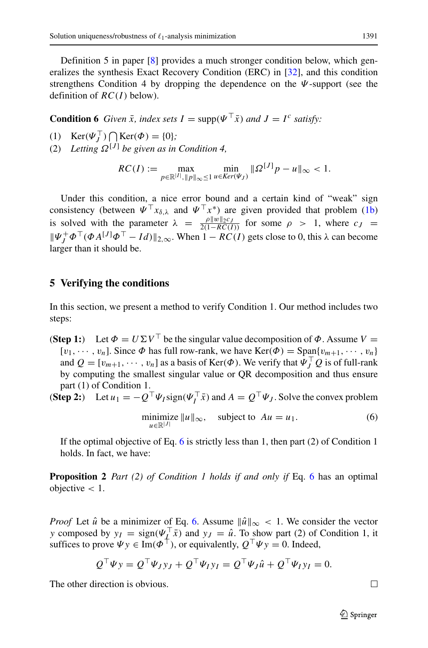Definition 5 in paper [\[8\]](#page-17-9) provides a much stronger condition below, which generalizes the synthesis Exact Recovery Condition (ERC) in [\[32\]](#page-18-18), and this condition strengthens Condition 4 by dropping the dependence on the *Ψ*-support (see the definition of  $RC(I)$  below).

**Condition 6** *Given*  $\bar{x}$ *, index sets*  $I = \text{supp}(\Psi^\top \bar{x})$  *and*  $J = I^c$  *satisfy:* 

(1)  $\text{Ker}(\Psi_J^{\perp}) \bigcap_{i=1}^n \text{Ker}(\Phi) = \{0\};$ 

(2) Letting  $\Omega^{[J]}$  be given as in Condition 4,

$$
RC(I) := \max_{p \in \mathbb{R}^{|I|}, \|p\|_{\infty} \le 1} \min_{u \in \text{Ker}(\Psi_J)} \|\Omega^{[J]}p - u\|_{\infty} < 1.
$$

Under this condition, a nice error bound and a certain kind of "weak" sign consistency (between  $\Psi^{\top} x_{\delta,\lambda}$  and  $\Psi^{\top} x^*$ ) are given provided that problem [\(1b\)](#page-3-0) is solved with the parameter  $\lambda = \frac{\rho \|w\|_2 c_J}{2(1 - RC(I))}$  for some  $\rho > 1$ , where  $c_J =$  $||\Psi_j^+ \Phi^\top (\Phi A^{[J]} \Phi^\top - Id)||_{2,\infty}$ . When  $1 - RC(I)$  gets close to 0, this  $\lambda$  can become larger than it should be.

## <span id="page-10-0"></span>**5 Verifying the conditions**

In this section, we present a method to verify Condition 1. Our method includes two steps:

- (**Step 1:**) Let  $\Phi = U \Sigma V^{\top}$  be the singular value decomposition of  $\Phi$ . Assume  $V =$  $[v_1, \dots, v_n]$ . Since  $\Phi$  has full row-rank, we have  $\text{Ker}(\Phi) = \text{Span}\{v_{m+1}, \dots, v_n\}$ and  $Q = [v_{m+1}, \dots, v_n]$  as a basis of Ker $(\Phi)$ . We verify that  $\Psi_J^{\perp} Q$  is of full-rank by computing the smallest singular value or QR decomposition and thus ensure part (1) of Condition 1.
- **(Step 2:)** Let  $u_1 = -Q^{\dagger} \Psi_I \text{sign}(\Psi_I^{\dagger} \bar{x})$  and  $A = Q^{\dagger} \Psi_J$ . Solve the convex problem

<span id="page-10-1"></span>
$$
\underset{u \in \mathbb{R}^{|J|}}{\text{minimize}} \|u\|_{\infty}, \quad \text{subject to } Au = u_1. \tag{6}
$$

If the optimal objective of Eq. [6](#page-10-1) is strictly less than 1, then part  $(2)$  of Condition 1 holds. In fact, we have:

**Proposition 2** *Part (2) of Condition 1 holds if and only if* Eq. [6](#page-10-1) has an optimal objective *<* 1.

*Proof* Let  $\hat{u}$  be a minimizer of Eq. [6.](#page-10-1) Assume  $\|\hat{u}\|_{\infty} < 1$ . We consider the vector *y* composed by  $y_I = sign(\Psi_I^{\dagger} \bar{x})$  and  $y_J = \hat{u}$ . To show part (2) of Condition 1, it suffices to prove  $\Psi y \in \text{Im}(\Phi^{\dagger})$ , or equivalently,  $Q^{\dagger}\Psi y = 0$ . Indeed,

$$
Q^{\top} \Psi y = Q^{\top} \Psi_J y_J + Q^{\top} \Psi_I y_I = Q^{\top} \Psi_J \hat{u} + Q^{\top} \Psi_I y_I = 0.
$$

The other direction is obvious.

 $\Box$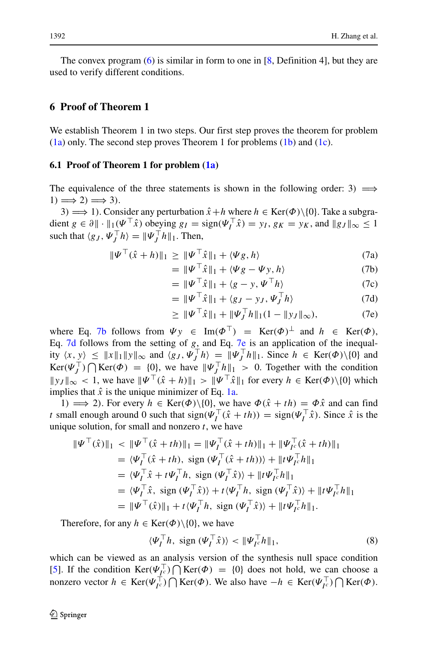The convex program  $(6)$  is similar in form to one in [\[8,](#page-17-9) Definition 4], but they are used to verify different conditions.

# <span id="page-11-0"></span>**6 Proof of Theorem 1**

We establish Theorem 1 in two steps. Our first step proves the theorem for problem  $(1a)$  only. The second step proves Theorem 1 for problems  $(1b)$  and  $(1c)$ .

#### **6.1 Proof of Theorem 1 for problem [\(1a\)](#page-3-0)**

The equivalence of the three statements is shown in the following order: 3*)*  $\implies$  $1) \Longrightarrow 2) \Longrightarrow 3).$ 

3 $) \implies 1$ . Consider any perturbation  $\hat{x} + h$  where  $h \in \text{Ker}(\Phi) \setminus \{0\}$ . Take a subgradient  $g \in \partial \|\cdot\|_1(\Psi \cdot \hat{x})$  obeying  $g_I = \text{sign}(\Psi_I \cdot \hat{x}) = y_I$ ,  $g_K = y_K$ , and  $\|g_J\|_{\infty} \le 1$ such that  $\langle g_J, \Psi_J^{\dagger} h \rangle = ||\Psi_J^{\dagger} h||_1$ . Then,

<span id="page-11-1"></span>
$$
\|\Psi^{\top}(\hat{x}+h)\|_{1} \ge \|\Psi^{\top}\hat{x}\|_{1} + \langle \Psi g, h \rangle \tag{7a}
$$

$$
= \|\Psi^{\top}\hat{x}\|_1 + \langle \Psi g - \Psi y, h \rangle \tag{7b}
$$

$$
= \|\Psi^{\top}\hat{x}\|_1 + \langle g - y, \Psi^{\top}h \rangle \tag{7c}
$$

$$
= \|\Psi^{\top}\hat{x}\|_1 + \langle g_J - y_J, \Psi_J^{\top}h \rangle \tag{7d}
$$

$$
\geq \|\Psi^{\top}\hat{x}\|_{1} + \|\Psi_{J}^{\top}h\|_{1}(1 - \|y_{J}\|_{\infty}),
$$
 (7e)

where Eq. [7b](#page-11-1) follows from  $\Psi y \in \text{Im}(\Phi^{\top}) = \text{Ker}(\Phi)^{\perp}$  and  $h \in \text{Ker}(\Phi)$ , Eq. [7d](#page-11-1) follows from the setting of *g*, and Eq. [7e](#page-11-1) is an application of the inequality  $\langle x, y \rangle \leq ||x||_1 ||y||_\infty$  and  $\langle g_J, \Psi_J^{\perp} h \rangle = ||\Psi_J^{\perp} h||_1$ . Since  $h \in \text{Ker}(\Phi) \setminus \{0\}$  and  $\text{Ker}(\Psi_J^{\perp}) \bigcap \text{Ker}(\Phi) = \{0\}$ , we have  $\|\Psi_J^{\perp} h\|_1 > 0$ . Together with the condition  $||y_J||_{\infty} < 1$ , we have  $||\Psi^{\top}(\hat{x} + h)||_1 > ||\Psi^{\top} \hat{x}||_1$  for every  $h \in \text{Ker}(\Phi) \setminus \{0\}$  which implies that  $\hat{x}$  is the unique minimizer of Eq. [1a.](#page-3-0)

1*)*  $\implies$  2*)*. For every *h* ∈ Ker $(\Phi) \setminus \{0\}$ , we have  $\Phi(\hat{x} + th) = \Phi \hat{x}$  and can find *t* small enough around 0 such that  $sign(\Psi_I^{\dagger}(\hat{x} + th)) = sign(\Psi_I^{\dagger} \hat{x})$ . Since  $\hat{x}$  is the unique solution, for small and nonzero *t*, we have

$$
\begin{split} \|\Psi^{\top}(\hat{x})\|_{1} &< \|\Psi^{\top}(\hat{x}+th)\|_{1} = \|\Psi_{I}^{\top}(\hat{x}+th)\|_{1} + \|\Psi_{I^{c}}^{\top}(\hat{x}+th)\|_{1} \\ &= \langle \Psi_{I}^{\top}(\hat{x}+th), \text{ sign } (\Psi_{I}^{\top}(\hat{x}+th)) \rangle + \|\iota \Psi_{I^{c}}^{\top} h\|_{1} \\ &= \langle \Psi_{I}^{\top} \hat{x} + \iota \Psi_{I}^{\top} h, \text{ sign } (\Psi_{I}^{\top} \hat{x}) \rangle + \|\iota \Psi_{I^{c}}^{\top} h\|_{1} \\ &= \langle \Psi_{I}^{\top} \hat{x}, \text{ sign } (\Psi_{I}^{\top} \hat{x}) \rangle + \iota \langle \Psi_{I}^{\top} h, \text{ sign } (\Psi_{I}^{\top} \hat{x}) \rangle + \|\iota \Psi_{I^{c}}^{\top} h\|_{1} \\ &= \|\Psi^{\top}(\hat{x})\|_{1} + \iota \langle \Psi_{I}^{\top} h, \text{ sign } (\Psi_{I}^{\top} \hat{x}) \rangle + \|\iota \Psi_{I^{c}}^{\top} h\|_{1}. \end{split}
$$

Therefore, for any  $h \in \text{Ker}(\Phi) \setminus \{0\}$ , we have

<span id="page-11-2"></span>
$$
\langle \Psi_I^\top h, \text{ sign } (\Psi_I^\top \hat{x}) \rangle < \| \Psi_{I^c}^\top h \|_1,\tag{8}
$$

which can be viewed as an analysis version of the synthesis null space condition [\[5\]](#page-17-4). If the condition  $\text{Ker}(\Psi_{I^c}^{\perp}) \bigcap \text{Ker}(\Phi) = \{0\}$  does not hold, we can choose a nonzero vector  $h \in \text{Ker}(\Psi_{I^c}^{\perp}) \bigcap \text{Ker}(\Phi)$ . We also have  $-h \in \text{Ker}(\Psi_{I^c}^{\perp}) \bigcap \text{Ker}(\Phi)$ .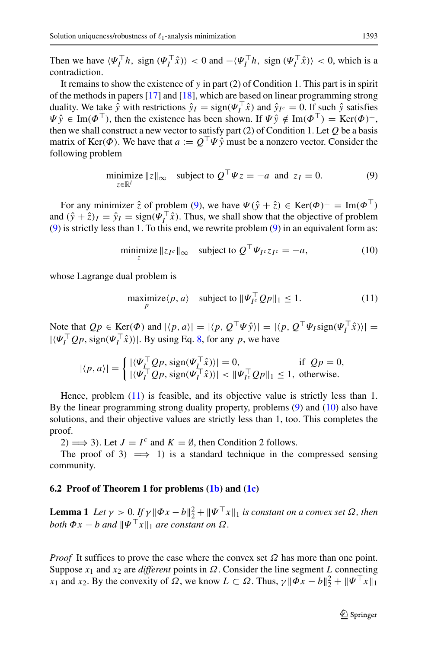Then we have  $\langle \Psi_I^{\dagger} h, \text{ sign } (\Psi_I^{\dagger} \hat{x}) \rangle < 0$  and  $-\langle \Psi_I^{\dagger} h, \text{ sign } (\Psi_I^{\dagger} \hat{x}) \rangle < 0$ , which is a contradiction.

It remains to show the existence of  $y$  in part (2) of Condition 1. This part is in spirit of the methods in papers [\[17\]](#page-18-15) and [\[18\]](#page-18-16), which are based on linear programming strong duality. We take  $\hat{y}$  with restrictions  $\hat{y}_I = \text{sign}(\Psi_I^{\dagger} \hat{x})$  and  $\hat{y}_{I^c} = 0$ . If such  $\hat{y}$  satisfies  $\Psi \hat{y} \in \text{Im}(\Phi^{\top})$ , then the existence has been shown. If  $\Psi \hat{y} \notin \text{Im}(\Phi^{\top}) = \text{Ker}(\Phi)^{\perp}$ , then we shall construct a new vector to satisfy part (2) of Condition 1. Let *Q* be a basis matrix of Ker $(\Phi)$ . We have that  $a := Q^{\top} \Psi \hat{v}$  must be a nonzero vector. Consider the following problem

<span id="page-12-0"></span>
$$
\underset{z \in \mathbb{R}^l}{\text{minimize}} \ \|z\|_{\infty} \quad \text{subject to } Q^\top \Psi z = -a \text{ and } z_I = 0. \tag{9}
$$

For any minimizer  $\hat{z}$  of problem [\(9\)](#page-12-0), we have  $\Psi(\hat{y} + \hat{z}) \in \text{Ker}(\Phi)^{\perp} = \text{Im}(\Phi^{\top})$ and  $(\hat{y} + \hat{z})_I = \hat{y}_I = \text{sign}(\Psi_I^{\dagger} \hat{x})$ . Thus, we shall show that the objective of problem [\(9\)](#page-12-0) is strictly less than 1. To this end, we rewrite problem [\(9\)](#page-12-0) in an equivalent form as:

<span id="page-12-2"></span>
$$
\underset{z}{\text{minimize}} \ \|z_{I^c}\|_{\infty} \quad \text{subject to } Q^{\top} \Psi_{I^c} z_{I^c} = -a,\tag{10}
$$

whose Lagrange dual problem is

<span id="page-12-1"></span>
$$
\underset{p}{\text{maximize}} \langle p, a \rangle \quad \text{subject to } \|\Psi_{I^c}^\top Q p\|_1 \le 1. \tag{11}
$$

Note that  $Qp \in \text{Ker}(\Phi)$  and  $|\langle p, a \rangle| = |\langle p, Q^{\perp} \Psi \hat{y} \rangle| = |\langle p, Q^{\perp} \Psi \hat{y} \rangle| = \frac{1}{2}$  $|\langle \Psi_I^{\perp} Q p, \text{sign}(\Psi_I^{\perp} \hat{x}) \rangle|$ . By using Eq. [8,](#page-11-2) for any p, we have

$$
|\langle p, a \rangle| = \begin{cases} |\langle \Psi_l^\top Q p, \operatorname{sign}(\Psi_l^\top \hat{x}) \rangle| = 0, & \text{if } Qp = 0, \\ |\langle \Psi_l^\top Q p, \operatorname{sign}(\Psi_l^\top \hat{x}) \rangle| < \|\Psi_l^\top Q p\|_1 \le 1, & \text{otherwise.} \end{cases}
$$

Hence, problem [\(11\)](#page-12-1) is feasible, and its objective value is strictly less than 1. By the linear programming strong duality property, problems [\(9\)](#page-12-0) and [\(10\)](#page-12-2) also have solutions, and their objective values are strictly less than 1, too. This completes the proof.

2 $) \implies 3$ . Let  $J = I^c$  and  $K = \emptyset$ , then Condition 2 follows.

The proof of 3*)*  $\implies$  1*)* is a standard technique in the compressed sensing community.

#### **6.2 Proof of Theorem 1 for problems [\(1b\)](#page-3-0) and [\(1c\)](#page-3-0)**

**Lemma 1** *Let*  $\gamma > 0$ ,  $If \gamma \|\Phi x - b\|_2^2 + \|\Psi^\top x\|_1$  is constant on a convex set  $\Omega$ , then *both*  $\Phi x - b$  *and*  $\Psi^{\top} x \Vert_1$  *are constant on*  $\Omega$ *.* 

*Proof* It suffices to prove the case where the convex set  $Ω$  has more than one point. Suppose *x*<sup>1</sup> and *x*<sup>2</sup> are *different* points in *Ω*. Consider the line segment *L* connecting *x*<sub>1</sub> and *x*<sub>2</sub>. By the convexity of  $\Omega$ , we know  $L \subset \Omega$ . Thus,  $\gamma ||\Phi x - b||_2^2 + ||\Psi^\top x||_1$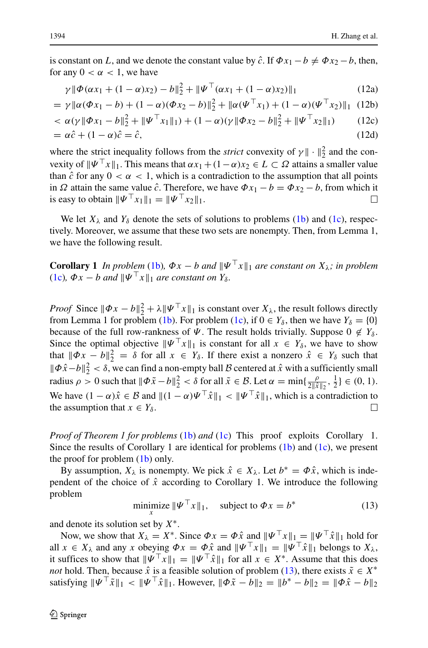is constant on *L*, and we denote the constant value by  $\hat{c}$ . If  $\Phi x_1 - b \neq \Phi x_2 - b$ , then, for any  $0 < \alpha < 1$ , we have

$$
\gamma \|\Phi(\alpha x_1 + (1 - \alpha)x_2) - b\|_2^2 + \|\Psi^\top(\alpha x_1 + (1 - \alpha)x_2)\|_1 \tag{12a}
$$

$$
= \gamma \|\alpha(\Phi x_1 - b) + (1 - \alpha)(\Phi x_2 - b)\|_2^2 + \|\alpha(\Psi^\top x_1) + (1 - \alpha)(\Psi^\top x_2)\|_1 \tag{12b}
$$

$$
\langle \alpha(\gamma || \Phi x_1 - b ||_2^2 + || \Psi^\top x_1 ||_1) + (1 - \alpha)(\gamma || \Phi x_2 - b ||_2^2 + || \Psi^\top x_2 ||_1)
$$
(12c)  
=  $\alpha \hat{c} + (1 - \alpha)\hat{c} = \hat{c},$ (12d)

where the strict inequality follows from the *strict* convexity of  $\gamma \|\cdot\|_2^2$  and the convexity of  $\|\Psi^\top x\|_1$ . This means that  $\alpha x_1 + (1 - \alpha)x_2 \in L \subset \Omega$  attains a smaller value than  $\hat{c}$  for any  $0 < \alpha < 1$ , which is a contradiction to the assumption that all points in *Ω* attain the same value  $\hat{c}$ . Therefore, we have  $\Phi x_1 - b = \Phi x_2 - b$ , from which it is easy to obtain  $\|\Psi^{\top} x_1\|_1 = \|\Psi^{\top} x_2\|_1$ .

We let  $X_{\lambda}$  and  $Y_{\delta}$  denote the sets of solutions to problems [\(1b\)](#page-3-0) and [\(1c\)](#page-3-0), respectively. Moreover, we assume that these two sets are nonempty. Then, from Lemma 1, we have the following result.

**Corollary 1** *In problem* [\(1b\)](#page-3-0),  $\Phi x - b$  *and*  $\|\Psi^\top x\|_1$  *are constant on*  $X_\lambda$ *; in problem* [\(1c\)](#page-3-0),  $\Phi x - b$  *and*  $\|\Psi^\top x\|_1$  *are constant on*  $Y_\delta$ *.* 

*Proof* Since  $\|\Phi x - b\|_2^2 + \lambda \|\Psi^\top x\|_1$  is constant over  $X_\lambda$ , the result follows directly from Lemma 1 for problem [\(1b\)](#page-3-0). For problem [\(1c\)](#page-3-0), if  $0 \in Y_\delta$ , then we have  $Y_\delta = \{0\}$ because of the full row-rankness of  $\Psi$ . The result holds trivially. Suppose  $0 \notin Y_\delta$ . Since the optimal objective  $\|\Psi^\top x\|_1$  is constant for all  $x \in Y_\delta$ , we have to show that  $\|\Phi x - b\|_2^2 = \delta$  for all  $x \in Y_\delta$ . If there exist a nonzero  $\hat{x} \in Y_\delta$  such that  $\|\Phi\hat{x}-b\|_2^2 < \delta$ , we can find a non-empty ball B centered at  $\hat{x}$  with a sufficiently small radius  $\rho > 0$  such that  $\|\Phi \tilde{x} - b\|_2^2 < \delta$  for all  $\tilde{x} \in \mathcal{B}$ . Let  $\alpha = \min\{\frac{\rho}{2\|\hat{x}\|_2}, \frac{1}{2}\} \in (0, 1)$ . We have  $(1 - \alpha)\hat{x} \in \mathcal{B}$  and  $\|(1 - \alpha)\Psi^\top \hat{x}\|_1 < \|\Psi^\top \hat{x}\|_1$ , which is a contradiction to the assumption that  $x \in Y_s$ . the assumption that  $x \in Y_\delta$ .

*Proof of Theorem 1 for problems* [\(1b\)](#page-3-0) *and* [\(1c\)](#page-3-0) This proof exploits Corollary 1. Since the results of Corollary 1 are identical for problems  $(1b)$  and  $(1c)$ , we present the proof for problem [\(1b\)](#page-3-0) only.

By assumption,  $X_{\lambda}$  is nonempty. We pick  $\hat{x} \in X_{\lambda}$ . Let  $b^* = \Phi \hat{x}$ , which is independent of the choice of  $\hat{x}$  according to Corollary 1. We introduce the following problem

<span id="page-13-0"></span>
$$
\underset{x}{\text{minimize}} \|\Psi^{\top} x\|_1, \quad \text{subject to } \Phi x = b^* \tag{13}
$$

and denote its solution set by *X*∗.

Now, we show that  $X_{\lambda} = X^*$ . Since  $\Phi x = \Phi \hat{x}$  and  $\|\Psi^{\top} x\|_1 = \|\Psi^{\top} \hat{x}\|_1$  hold for all  $x \in X_\lambda$  and any *x* obeying  $\Phi x = \Phi \hat{x}$  and  $\|\Psi^\top x\|_1 = \|\Psi^\top \hat{x}\|_1$  belongs to  $X_\lambda$ , it suffices to show that  $\|\Psi^\top x\|_1 = \|\Psi^\top \hat{x}\|_1$  for all  $x \in X^*$ . Assume that this does *not* hold. Then, because  $\hat{x}$  is a feasible solution of problem [\(13\)](#page-13-0), there exists  $\tilde{x} \in X^*$ satisfying  $\|\Psi^\top \tilde{x}\|_1 < \|\Psi^\top \hat{x}\|_1$ . However,  $\|\Phi \tilde{x} - b\|_2 = \|b^* - b\|_2 = \|\Phi \hat{x} - b\|_2$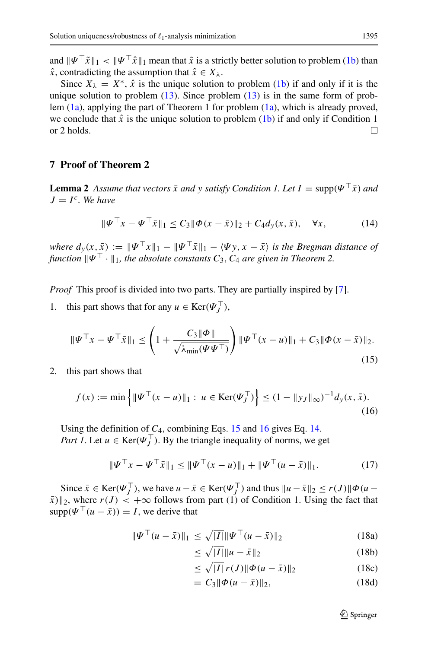and  $\|\Psi^{\top}\tilde{x}\|_1 < \|\Psi^{\top}\hat{x}\|_1$  mean that  $\tilde{x}$  is a strictly better solution to problem [\(1b\)](#page-3-0) than  $\hat{x}$ , contradicting the assumption that  $\hat{x} \in X_{\lambda}$ .

Since  $X_{\lambda} = X^*$ ,  $\hat{x}$  is the unique solution to problem [\(1b\)](#page-3-0) if and only if it is the unique solution to problem  $(13)$ . Since problem  $(13)$  is in the same form of problem [\(1a\)](#page-3-0), applying the part of Theorem 1 for problem [\(1a\)](#page-3-0), which is already proved, we conclude that  $\hat{x}$  is the unique solution to problem [\(1b\)](#page-3-0) if and only if Condition 1 or 2 holds. or 2 holds.

# <span id="page-14-0"></span>**7 Proof of Theorem 2**

**Lemma 2** *Assume that vectors*  $\bar{x}$  *and*  $y$  *satisfy Condition 1. Let*  $I = \text{supp}(\Psi^\top \bar{x})$  *and*  $J = I^c$ *. We have* 

<span id="page-14-3"></span>
$$
\|\Psi^{\top} x - \Psi^{\top} \bar{x}\|_{1} \le C_{3} \|\Phi(x - \bar{x})\|_{2} + C_{4} d_{y}(x, \bar{x}), \quad \forall x,
$$
 (14)

*where*  $d_y(x, \bar{x}) := \|\Psi^\top x\|_1 - \|\Psi^\top \bar{x}\|_1 - \langle \Psi y, x - \bar{x} \rangle$  *is the Bregman distance of function*  $\|\Psi^{\top} \cdot \|_1$ *, the absolute constants*  $C_3$ *,*  $C_4$  *are given in Theorem 2.* 

*Proof* This proof is divided into two parts. They are partially inspired by [\[7\]](#page-17-6).

1. this part shows that for any  $u \in \text{Ker}(\Psi_J^{\perp})$ ,

<span id="page-14-1"></span>
$$
\|\Psi^{\top}x - \Psi^{\top}\bar{x}\|_{1} \leq \left(1 + \frac{C_{3} \|\Phi\|}{\sqrt{\lambda_{\min}(\Psi \Psi^{\top})}}\right) \|\Psi^{\top}(x - u)\|_{1} + C_{3} \|\Phi(x - \bar{x})\|_{2}.
$$
\n(15)

2. this part shows that

<span id="page-14-2"></span>
$$
f(x) := \min\left\{ \|\Psi^{\top}(x - u)\|_{1} : \ u \in \text{Ker}(\Psi_{J}^{\top}) \right\} \le (1 - \|y_{J}\|_{\infty})^{-1} d_{y}(x, \bar{x}).
$$
\n(16)

Using the definition of *C*4, combining Eqs. [15](#page-14-1) and [16](#page-14-2) gives Eq. [14.](#page-14-3) *Part 1*. Let  $u \in \text{Ker}(\Psi_J^+)$ . By the triangle inequality of norms, we get

<span id="page-14-4"></span>
$$
\|\Psi^{\top} x - \Psi^{\top} \bar{x}\|_{1} \le \|\Psi^{\top} (x - u)\|_{1} + \|\Psi^{\top} (u - \bar{x})\|_{1}.
$$
 (17)

Since  $\bar{x} \in \text{Ker}(\Psi_J^{\perp})$ , we have  $u - \bar{x} \in \text{Ker}(\Psi_J^{\perp})$  and thus  $||u - \bar{x}||_2 \le r(J)||\Phi(u - \bar{x})||_2^2$  $\|\bar{x}\|_{2}$ , where  $r(J) < +\infty$  follows from part (1) of Condition 1. Using the fact that  $supp(\Psi^{\top}(u - \bar{x})) = I$ , we derive that

<span id="page-14-6"></span>
$$
\|\Psi^{\top}(u-\bar{x})\|_{1} \leq \sqrt{|I|} \|\Psi^{\top}(u-\bar{x})\|_{2}
$$
\n(18a)

<span id="page-14-5"></span>
$$
\leq \sqrt{|I|} \|u - \bar{x}\|_2 \tag{18b}
$$

$$
\leq \sqrt{|I|} r(J) \|\Phi(u - \bar{x})\|_2 \tag{18c}
$$

$$
= C_3 \|\Phi(u - \bar{x})\|_2, \tag{18d}
$$

 $\mathcal{D}$  Springer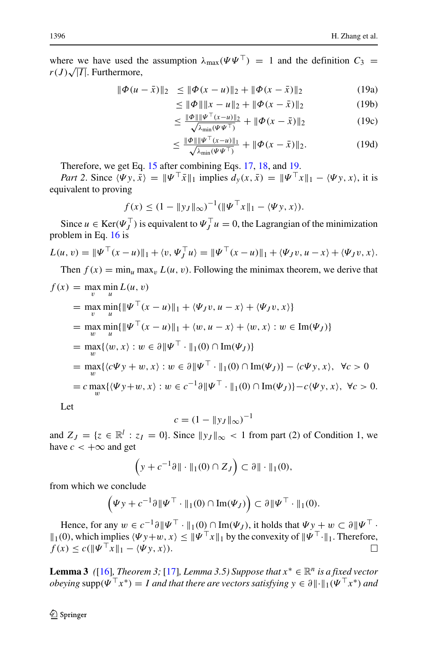where we have used the assumption  $\lambda_{\text{max}}(\Psi \Psi^{\top}) = 1$  and the definition  $C_3 =$  $r(J)\sqrt{|I|}$ . Furthermore,

<span id="page-15-0"></span>
$$
\|\Phi(u-\bar{x})\|_2 \le \|\Phi(x-u)\|_2 + \|\Phi(x-\bar{x})\|_2 \tag{19a}
$$

$$
\leq \|\Phi\| \|x - u\|_2 + \|\Phi(x - \bar{x})\|_2 \tag{19b}
$$

$$
\leq \frac{\|\Phi\| \|\Psi^\top (x-u)\|_2}{\sqrt{\lambda_{\min}(\Psi\Psi^\top)}} + \|\Phi(x-\bar{x})\|_2 \tag{19c}
$$

$$
\leq \frac{\|\Phi\| \|\Psi^{\top}(x-u)\|_1}{\sqrt{\lambda_{\min}(\Psi\Psi^{\top})}} + \|\Phi(x-\bar{x})\|_2.
$$
 (19d)

Therefore, we get Eq. [15](#page-14-1) after combining Eqs. [17,](#page-14-4) [18,](#page-14-5) and [19.](#page-15-0)

*Part 2.* Since  $\langle \Psi y, \bar{x} \rangle = ||\Psi^{\dagger} \bar{x}||_1$  implies  $d_y(x, \bar{x}) = ||\Psi^{\dagger} x||_1 - \langle \Psi y, x \rangle$ , it is equivalent to proving

$$
f(x) \le (1 - \|y_J\|_{\infty})^{-1} (\|\Psi^{\top} x\|_1 - \langle \Psi y, x \rangle).
$$

Since  $u \in \text{Ker}(\Psi_J^{\perp})$  is equivalent to  $\Psi_J^{\perp} u = 0$ , the Lagrangian of the minimization problem in Eq. [16](#page-14-2) is

$$
L(u, v) = \|\Psi^{\top}(x - u)\|_1 + \langle v, \Psi_y^{\top} u \rangle = \|\Psi^{\top}(x - u)\|_1 + \langle \Psi_y v, u - x \rangle + \langle \Psi_y v, x \rangle.
$$

Then  $f(x) = \min_u \max_v L(u, v)$ . Following the minimax theorem, we derive that

$$
f(x) = \max_{v} \min_{u} L(u, v)
$$
  
=  $\max_{v} \min_{u} \{ ||\Psi^{\top}(x - u)||_1 + \langle \Psi_J v, u - x \rangle + \langle \Psi_J v, x \rangle \}$   
=  $\max_{w} \min_{u} \{ ||\Psi^{\top}(x - u)||_1 + \langle w, u - x \rangle + \langle w, x \rangle : w \in \text{Im}(\Psi_J) \}$   
=  $\max_{w} \{ \langle w, x \rangle : w \in \partial ||\Psi^{\top} \cdot ||_1(0) \cap \text{Im}(\Psi_J) \}$   
=  $\max_{w} \{ \langle c\Psi y + w, x \rangle : w \in \partial ||\Psi^{\top} \cdot ||_1(0) \cap \text{Im}(\Psi_J) \} - \langle c\Psi y, x \rangle, \ \forall c > 0$   
=  $c \max_{w} \{ \langle \Psi y + w, x \rangle : w \in c^{-1} \partial ||\Psi^{\top} \cdot ||_1(0) \cap \text{Im}(\Psi_J) \} - c \langle \Psi y, x \rangle, \ \forall c > 0.$ 

Let

$$
c = (1 - \|y_J\|_{\infty})^{-1}
$$

and  $Z_J = \{z \in \mathbb{R}^l : z_J = 0\}$ . Since  $||y_J||_{\infty} < 1$  from part (2) of Condition 1, we have  $c < +\infty$  and get

$$
\left(y + c^{-1}\partial \|\cdot\|_1(0) \cap Z_J\right) \subset \partial \|\cdot\|_1(0),
$$

from which we conclude

$$
(\Psi y + c^{-1}\partial \|\Psi^{\top} \cdot\|_1(0) \cap \text{Im}(\Psi_J)) \subset \partial \|\Psi^{\top} \cdot\|_1(0).
$$

Hence, for any  $w \in c^{-1} \partial \|\Psi^{\top} \cdot \|_1(0) \cap \text{Im}(\Psi_J)$ , it holds that  $\Psi y + w \subset \partial \|\Psi^{\top} \cdot \|_1$  $||_1(0)$ , which implies  $\langle \Psi y + w, x \rangle \le ||\Psi^\top x||_1$  by the convexity of  $||\Psi^\top \cdot||_1$ . Therefore,  $f(x) \leq c(||\Psi^{\top} x||_1 - \langle \Psi y, x \rangle).$ 

**Lemma 3** *(*[\[16\]](#page-18-2)*, Theorem 3;* [\[17\]](#page-18-15)*, Lemma 3.5) Suppose that*  $x^* \in \mathbb{R}^n$  *is a fixed vector obeying* supp $(\Psi^{\top} x^*) = I$  *and that there are vectors satisfying*  $y \in \partial ||\cdot||_1(\Psi^{\top} x^*)$  *and*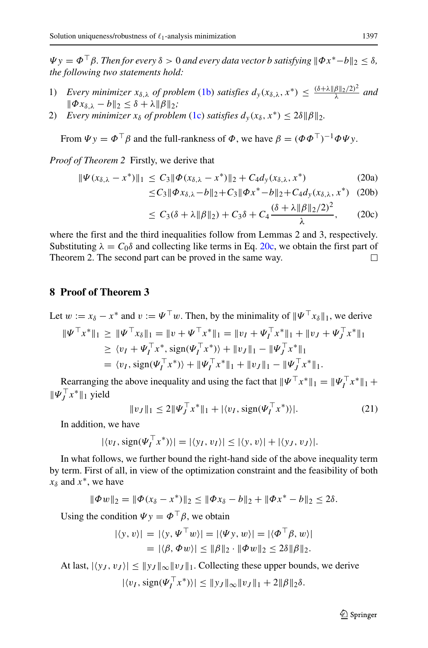$\Psi y = \Phi^{\top} \beta$ . Then for every  $\delta > 0$  and every data vector *b* satisfying  $\|\Phi x^* - b\|_2 < \delta$ . *the following two statements hold:*

- 1) *Every minimizer*  $x_{\delta,\lambda}$  *of problem* [\(1b\)](#page-3-0) *satisfies*  $d_y(x_{\delta,\lambda}, x^*) \leq \frac{(\delta + \lambda ||\beta||_2/2)^2}{\lambda}$  *and*  $\|\Phi x_{\delta,\lambda} - b\|_2 \leq \delta + \lambda \|\beta\|_2;$
- 2) *Every minimizer*  $x_{\delta}$  *of problem* [\(1c\)](#page-3-0) *satisfies*  $d_{\nu}(x_{\delta}, x^*) \leq 2\delta \|\beta\|_2$ .

From  $\Psi y = \Phi^\top \beta$  and the full-rankness of  $\Phi$ , we have  $\beta = (\Phi \Phi^\top)^{-1} \Phi \Psi y$ .

*Proof of Theorem 2* Firstly, we derive that

$$
\|\Psi(x_{\delta,\lambda} - x^*)\|_1 \le C_3 \|\Phi(x_{\delta,\lambda} - x^*)\|_2 + C_4 d_y(x_{\delta,\lambda}, x^*)
$$
\n(20a)

$$
\leq C_3 \|\Phi x_{\delta,\lambda} - b\|_2 + C_3 \|\Phi x^* - b\|_2 + C_4 d_y(x_{\delta,\lambda}, x^*) \quad (20b)
$$

$$
\leq C_3(\delta + \lambda \|\beta\|_2) + C_3\delta + C_4 \frac{(\delta + \lambda \|\beta\|_2/2)^2}{\lambda}, \qquad (20c)
$$

where the first and the third inequalities follow from Lemmas 2 and 3, respectively. Substituting  $\lambda = C_0 \delta$  and collecting like terms in Eq. [20c,](#page-14-6) we obtain the first part of Theorem 2. The second part can be proved in the same way. Theorem 2. The second part can be proved in the same way.

# <span id="page-16-0"></span>**8 Proof of Theorem 3**

Let  $w := x_{\delta} - x^*$  and  $v := \Psi^{\top} w$ . Then, by the minimality of  $\|\Psi^{\top} x_{\delta}\|_1$ , we derive

$$
\begin{aligned} \|\Psi^{\top}x^*\|_1 &\geq \|\Psi^{\top}x_{\delta}\|_1 = \|v + \Psi^{\top}x^*\|_1 = \|v_I + \Psi_I^{\top}x^*\|_1 + \|v_J + \Psi_J^{\top}x^*\|_1 \\ &\geq \langle v_I + \Psi_I^{\top}x^*, \text{sign}(\Psi_I^{\top}x^*) \rangle + \|v_J\|_1 - \|\Psi_J^{\top}x^*\|_1 \\ &= \langle v_I, \text{sign}(\Psi_I^{\top}x^*) \rangle + \|\Psi_I^{\top}x^*\|_1 + \|v_J\|_1 - \|\Psi_J^{\top}x^*\|_1. \end{aligned}
$$

Rearranging the above inequality and using the fact that  $\|\Psi^\top x^*\|_1 = \|\Psi^\top_l x^*\|_1 +$  $\|\Psi_j^{\dagger} x^*\|_1$  yield

<span id="page-16-1"></span>
$$
||v_J||_1 \le 2||\Psi_J^\top x^*||_1 + |\langle v_I, \text{sign}(\Psi_I^\top x^*)\rangle|.
$$
 (21)

In addition, we have

$$
|\langle v_I, \text{sign}(\Psi_I^\top x^*)\rangle| = |\langle y_I, v_I\rangle| \le |\langle y, v\rangle| + |\langle y_J, v_J\rangle|.
$$

In what follows, we further bound the right-hand side of the above inequality term by term. First of all, in view of the optimization constraint and the feasibility of both *xδ* and *x*∗, we have

$$
\|\Phi w\|_2 = \|\Phi(x_\delta - x^*)\|_2 \le \|\Phi x_\delta - b\|_2 + \|\Phi x^* - b\|_2 \le 2\delta.
$$

Using the condition  $\Psi y = \Phi^\top \beta$ , we obtain

$$
|\langle y, v \rangle| = |\langle y, \Psi^{\top} w \rangle| = |\langle \Psi y, w \rangle| = |\langle \Phi^{\top} \beta, w \rangle|
$$
  
=  $|\langle \beta, \Phi w \rangle| \le \|\beta\|_2 \cdot \|\Phi w\|_2 \le 2\delta \|\beta\|_2$ .

At last,  $|\langle y_J, v_J \rangle| \le ||y_J||_{\infty} ||v_J||_1$ . Collecting these upper bounds, we derive

 $|\langle v_I, \text{sign}(\Psi_I^{\top} x^*) \rangle| \le ||y_J||_{\infty} ||v_J||_1 + 2||\beta||_2 \delta.$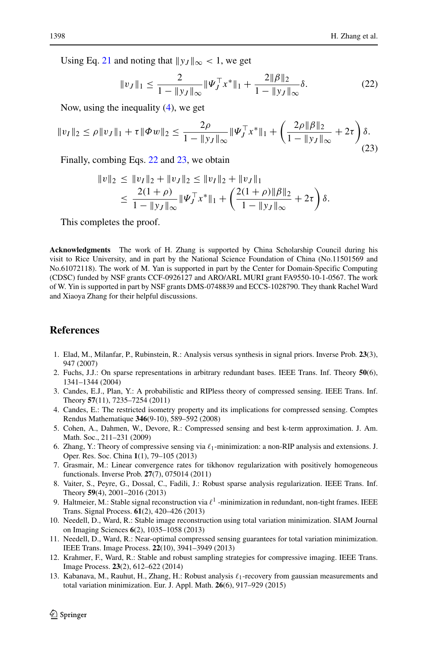Using Eq. [21](#page-16-1) and noting that  $\|y_J\|_{\infty} < 1$ , we get

<span id="page-17-10"></span>
$$
||v_J||_1 \le \frac{2}{1 - ||y_J||_{\infty}} ||\Psi_J^\top x^*||_1 + \frac{2||\beta||_2}{1 - ||y_J||_{\infty}} \delta. \tag{22}
$$

Now, using the inequality  $(4)$ , we get

<span id="page-17-11"></span>
$$
||v_I||_2 \le \rho ||v_J||_1 + \tau ||\Phi w||_2 \le \frac{2\rho}{1 - ||y_J||_{\infty}} ||\Psi_J^\top x^*||_1 + \left(\frac{2\rho ||\beta||_2}{1 - ||y_J||_{\infty}} + 2\tau\right)\delta.
$$
\n(23)

Finally, combing Eqs. [22](#page-17-10) and [23,](#page-17-11) we obtain

$$
\|v\|_2 \le \|v_I\|_2 + \|v_J\|_2 \le \|v_I\|_2 + \|v_J\|_1
$$
  

$$
\le \frac{2(1+\rho)}{1-\|y_J\|_\infty} \|\Psi_J^\top x^*\|_1 + \left(\frac{2(1+\rho)\|\beta\|_2}{1-\|y_J\|_\infty} + 2\tau\right)\delta.
$$

This completes the proof.

**Acknowledgments** The work of H. Zhang is supported by China Scholarship Council during his visit to Rice University, and in part by the National Science Foundation of China (No.11501569 and No.61072118). The work of M. Yan is supported in part by the Center for Domain-Specific Computing (CDSC) funded by NSF grants CCF-0926127 and ARO/ARL MURI grant FA9550-10-1-0567. The work of W. Yin is supported in part by NSF grants DMS-0748839 and ECCS-1028790. They thank Rachel Ward and Xiaoya Zhang for their helpful discussions.

# **References**

- <span id="page-17-0"></span>1. Elad, M., Milanfar, P., Rubinstein, R.: Analysis versus synthesis in signal priors. Inverse Prob. **23**(3), 947 (2007)
- <span id="page-17-1"></span>2. Fuchs, J.J.: On sparse representations in arbitrary redundant bases. IEEE Trans. Inf. Theory **50**(6), 1341–1344 (2004)
- <span id="page-17-2"></span>3. Candes, E.J., Plan, Y.: A probabilistic and RIPless theory of compressed sensing. IEEE Trans. Inf. Theory **57**(11), 7235–7254 (2011)
- <span id="page-17-3"></span>4. Candes, E.: The restricted isometry property and its implications for compressed sensing. Comptes Rendus Mathematique **346**(9-10), 589–592 (2008)
- <span id="page-17-4"></span>5. Cohen, A., Dahmen, W., Devore, R.: Compressed sensing and best k-term approximation. J. Am. Math. Soc., 211–231 (2009)
- <span id="page-17-5"></span>6. Zhang, Y.: Theory of compressive sensing via *-*1-minimization: a non-RIP analysis and extensions. J. Oper. Res. Soc. China **1**(1), 79–105 (2013)
- <span id="page-17-6"></span>7. Grasmair, M.: Linear convergence rates for tikhonov regularization with positively homogeneous functionals. Inverse Prob. **27**(7), 075014 (2011)
- <span id="page-17-9"></span>8. Vaiter, S., Peyre, G., Dossal, C., Fadili, J.: Robust sparse analysis regularization. IEEE Trans. Inf. Theory **59**(4), 2001–2016 (2013)
- <span id="page-17-8"></span>9. Haltmeier, M.: Stable signal reconstruction via  $\ell^1$  -minimization in redundant, non-tight frames. IEEE Trans. Signal Process. **61**(2), 420–426 (2013)
- 10. Needell, D., Ward, R.: Stable image reconstruction using total variation minimization. SIAM Journal on Imaging Sciences **6**(2), 1035–1058 (2013)
- 11. Needell, D., Ward, R.: Near-optimal compressed sensing guarantees for total variation minimization. IEEE Trans. Image Process. **22**(10), 3941–3949 (2013)
- 12. Krahmer, F., Ward, R.: Stable and robust sampling strategies for compressive imaging. IEEE Trans. Image Process. **23**(2), 612–622 (2014)
- <span id="page-17-7"></span>13. Kabanava, M., Rauhut, H., Zhang, H.: Robust analysis  $\ell_1$ -recovery from gaussian measurements and total variation minimization. Eur. J. Appl. Math. **26**(6), 917–929 (2015)